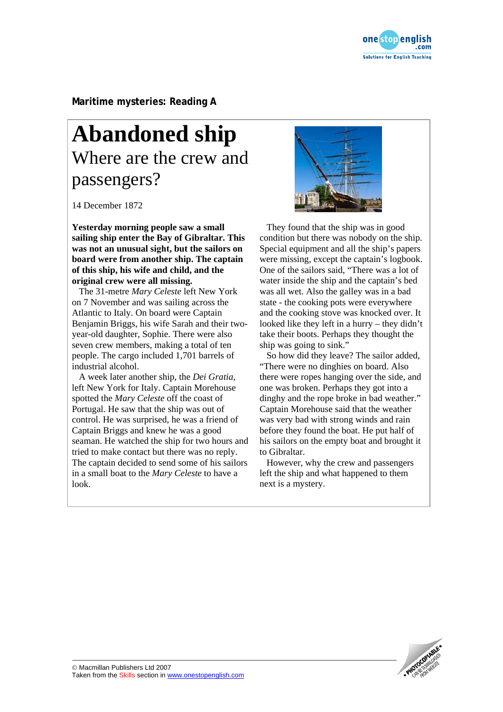

**Maritime mysteries: Reading A** 

## **Abandoned ship**  Where are the crew and passengers?

14 December 1872

**Yesterday morning people saw a small sailing ship enter the Bay of Gibraltar. This was not an unusual sight, but the sailors on board were from another ship. The captain of this ship, his wife and child, and the original crew were all missing.** 

The 31-metre *Mary Celeste* left New York on 7 November and was sailing across the Atlantic to Italy. On board were Captain Benjamin Briggs, his wife Sarah and their twoyear-old daughter, Sophie. There were also seven crew members, making a total of ten people. The cargo included 1,701 barrels of industrial alcohol.

A week later another ship, the *Dei Gratia*, left New York for Italy. Captain Morehouse spotted the *Mary Celeste* off the coast of Portugal. He saw that the ship was out of control. He was surprised, he was a friend of Captain Briggs and knew he was a good seaman. He watched the ship for two hours and tried to make contact but there was no reply. The captain decided to send some of his sailors in a small boat to the *Mary Celeste* to have a look.



 They found that the ship was in good condition but there was nobody on the ship. Special equipment and all the ship's papers were missing, except the captain's logbook. One of the sailors said, "There was a lot of water inside the ship and the captain's bed was all wet. Also the galley was in a bad state - the cooking pots were everywhere and the cooking stove was knocked over. It looked like they left in a hurry – they didn't take their boots. Perhaps they thought the ship was going to sink."

 So how did they leave? The sailor added, "There were no dinghies on board. Also there were ropes hanging over the side, and one was broken. Perhaps they got into a dinghy and the rope broke in bad weather." Captain Morehouse said that the weather was very bad with strong winds and rain before they found the boat. He put half of his sailors on the empty boat and brought it to Gibraltar.

 However, why the crew and passengers left the ship and what happened to them next is a mystery.